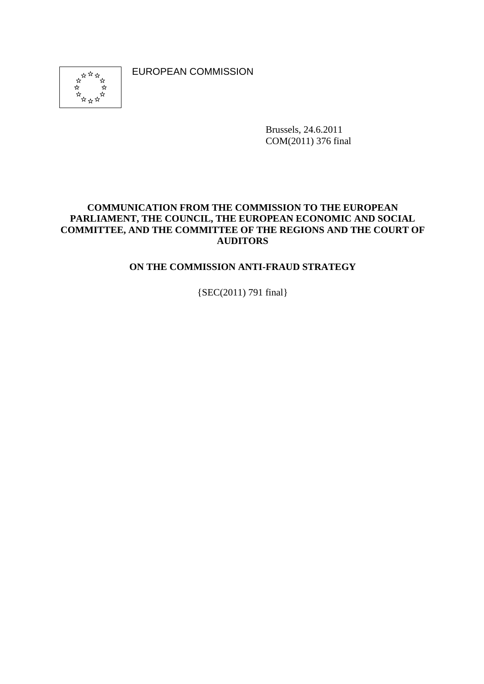EUROPEAN COMMISSION

<span id="page-0-0"></span>

Brussels, 24.6.2011 COM(2011) 376 final

### **COMMUNICATION FROM THE COMMISSION TO THE EUROPEAN PARLIAMENT, THE COUNCIL, THE EUROPEAN ECONOMIC AND SOCIAL COMMITTEE, AND THE COMMITTEE OF THE REGIONS AND THE COURT OF AUDITORS**

## **ON THE COMMISSION ANTI-FRAUD STRATEGY**

{SEC(2011) 791 final}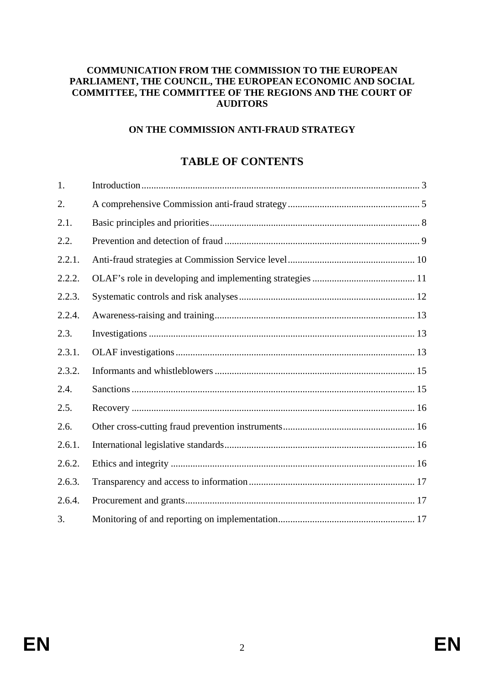#### **COMMUNICATION FROM THE COMMISSION TO THE EUROPEAN PARLIAMENT, THE COUNCIL, THE EUROPEAN ECONOMIC AND SOCIAL COMMITTEE, THE COMMITTEE OF THE REGIONS AND THE COURT OF AUDITORS**

#### **ON THE COMMISSION ANTI-FRAUD STRATEGY**

# **TABLE OF CONTENTS**

| 1.     |  |
|--------|--|
| 2.     |  |
| 2.1.   |  |
| 2.2.   |  |
| 2.2.1. |  |
| 2.2.2. |  |
| 2.2.3. |  |
| 2.2.4. |  |
| 2.3.   |  |
| 2.3.1. |  |
| 2.3.2. |  |
| 2.4.   |  |
| 2.5.   |  |
| 2.6.   |  |
| 2.6.1. |  |
| 2.6.2. |  |
| 2.6.3. |  |
| 2.6.4. |  |
| 3.     |  |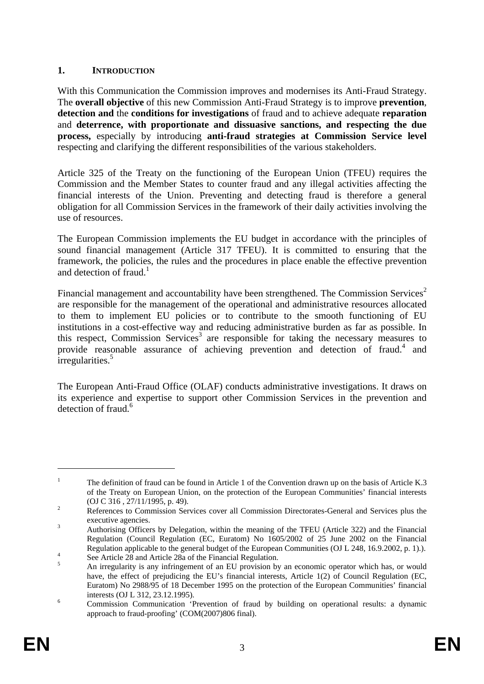## <span id="page-2-0"></span>**1. INTRODUCTION**

With this Communication the Commission improves and modernises its Anti-Fraud Strategy. The **overall objective** of this new Commission Anti-Fraud Strategy is to improve **prevention**, **detection and** the **conditions for investigations** of fraud and to achieve adequate **reparation** and **deterrence, with proportionate and dissuasive sanctions, and respecting the due process,** especially by introducing **anti-fraud strategies at Commission Service level** respecting and clarifying the different responsibilities of the various stakeholders.

Article 325 of the Treaty on the functioning of the European Union (TFEU) requires the Commission and the Member States to counter fraud and any illegal activities affecting the financial interests of the Union. Preventing and detecting fraud is therefore a general obligation for all Commission Services in the framework of their daily activities involving the use of resources.

The European Commission implements the EU budget in accordance with the principles of sound financial management (Article 317 TFEU). It is committed to ensuring that the framework, the policies, the rules and the procedures in place enable the effective prevention and detection of fraud.<sup>1</sup>

Financial management and accountability have been strengthened. The Commission Services<sup>2</sup> are responsible for the management of the operational and administrative resources allocated to them to implement EU policies or to contribute to the smooth functioning of EU institutions in a cost-effective way and reducing administrative burden as far as possible. In this respect, Commission Services<sup>3</sup> are responsible for taking the necessary measures to provide reasonable assurance of achieving prevention and detection of fraud.<sup>4</sup> and irregularities.<sup>5</sup>

The European Anti-Fraud Office (OLAF) conducts administrative investigations. It draws on its experience and expertise to support other Commission Services in the prevention and detection of fraud.<sup>6</sup>

<sup>1</sup> The definition of fraud can be found in Article 1 of the Convention drawn up on the basis of Article K.3 of the Treaty on European Union, on the protection of the European Communities' financial interests (OJ C 316,  $27/11/1995$ , p. 49).

References to Commission Services cover all Commission Directorates-General and Services plus the executive agencies.

Authorising Officers by Delegation, within the meaning of the TFEU (Article 322) and the Financial Regulation (Council Regulation (EC, Euratom) No 1605/2002 of 25 June 2002 on the Financial Regulation applicable to the general budget of the European Communities (OJ L 248, 16.9.2002, p. 1).).

See Article  $\overline{28}$  and Article  $\overline{28}$ a of the Financial Regulation.

An irregularity is any infringement of an EU provision by an economic operator which has, or would have, the effect of prejudicing the EU's financial interests, Article 1(2) of Council Regulation (EC, Euratom) No 2988/95 of 18 December 1995 on the protection of the European Communities' financial interests (OJ L 312, 23.12.1995).

Commission Communication 'Prevention of fraud by building on operational results: a dynamic approach to fraud-proofing' (COM(2007)806 final).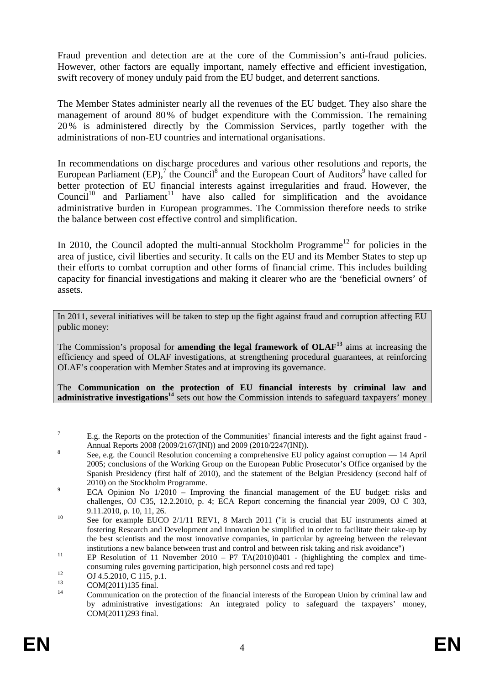Fraud prevention and detection are at the core of the Commission's anti-fraud policies. However, other factors are equally important, namely effective and efficient investigation, swift recovery of money unduly paid from the EU budget, and deterrent sanctions.

The Member States administer nearly all the revenues of the EU budget. They also share the management of around 80% of budget expenditure with the Commission. The remaining 20% is administered directly by the Commission Services, partly together with the administrations of non-EU countries and international organisations.

In recommendations on discharge procedures and various other resolutions and reports, the European Parliament  $(EP)$ ,<sup>7</sup> the Council<sup>8</sup> and the European Court of Auditors<sup>9</sup> have called for better protection of EU financial interests against irregularities and fraud. However, the Council<sup>10</sup> and Parliament<sup>11</sup> have also called for simplification and the avoidance administrative burden in European programmes. The Commission therefore needs to strike the balance between cost effective control and simplification.

In 2010, the Council adopted the multi-annual Stockholm Programme<sup>12</sup> for policies in the area of justice, civil liberties and security. It calls on the EU and its Member States to step up their efforts to combat corruption and other forms of financial crime. This includes building capacity for financial investigations and making it clearer who are the 'beneficial owners' of assets.

In 2011, several initiatives will be taken to step up the fight against fraud and corruption affecting EU public money:

The Commission's proposal for **amending the legal framework of OLAF<sup>13</sup>** aims at increasing the efficiency and speed of OLAF investigations, at strengthening procedural guarantees, at reinforcing OLAF's cooperation with Member States and at improving its governance.

The **Communication on the protection of EU financial interests by criminal law and**  administrative investigations<sup>14</sup> sets out how the Commission intends to safeguard taxpayers' money

<sup>7</sup> E.g. the Reports on the protection of the Communities' financial interests and the fight against fraud - Annual Reports 2008 (2009/2167(INI)) and 2009 (2010/2247(INI)).

See, e.g. the Council Resolution concerning a comprehensive EU policy against corruption — 14 April 2005; conclusions of the Working Group on the European Public Prosecutor's Office organised by the Spanish Presidency (first half of 2010), and the statement of the Belgian Presidency (second half of  $2010$ ) on the Stockholm Programme.

ECA Opinion No 1/2010 – Improving the financial management of the EU budget: risks and challenges, OJ C35, 12.2.2010, p. 4; ECA Report concerning the financial year 2009, OJ C 303, 9.11.2010, p. 10, 11, 26.<br>
See for example EUCO  $2/1/11$  REV1, 8 March 2011 ("it is crucial that EU instruments aimed at

fostering Research and Development and Innovation be simplified in order to facilitate their take-up by the best scientists and the most innovative companies, in particular by agreeing between the relevant institutions a new balance between trust and control and between risk taking and risk avoidance")<br>Il EP Resolution of 11 November 2010 – P7 TA(2010)0401 - (highlighting the complex and time-

consuming rules governing participation, high personnel costs and red tape)<br>  $0J\ 4.5.2010, C\ 115, p.1.$ 

 $13$  COM(2011)135 final.

<sup>14</sup> Communication on the protection of the financial interests of the European Union by criminal law and by administrative investigations: An integrated policy to safeguard the taxpayers' money, COM(2011)293 final.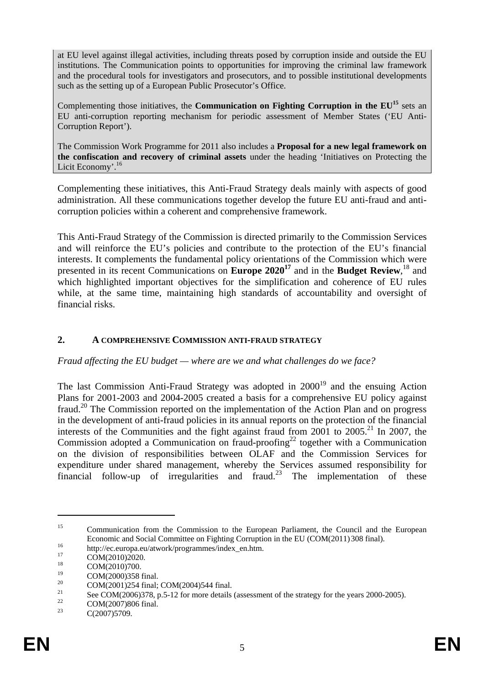at EU level against illegal activities, including threats posed by corruption inside and outside the EU institutions. The Communication points to opportunities for improving the criminal law framework and the procedural tools for investigators and prosecutors, and to possible institutional developments such as the setting up of a European Public Prosecutor's Office.

Complementing those initiatives, the **Communication on Fighting Corruption in the EU<sup>15</sup>** sets an EU anti-corruption reporting mechanism for periodic assessment of Member States ('EU Anti-Corruption Report').

The Commission Work Programme for 2011 also includes a **Proposal for a new legal framework on the confiscation and recovery of criminal assets** under the heading 'Initiatives on Protecting the Licit Economy'.<sup>16</sup>

Complementing these initiatives, this Anti-Fraud Strategy deals mainly with aspects of good administration. All these communications together develop the future EU anti-fraud and anticorruption policies within a coherent and comprehensive framework.

This Anti-Fraud Strategy of the Commission is directed primarily to the Commission Services and will reinforce the EU's policies and contribute to the protection of the EU's financial interests. It complements the fundamental policy orientations of the Commission which were presented in its recent Communications on **Europe 202017** and in the **Budget Review**, 18 and which highlighted important objectives for the simplification and coherence of EU rules while, at the same time, maintaining high standards of accountability and oversight of financial risks.

#### <span id="page-4-0"></span>**2. A COMPREHENSIVE COMMISSION ANTI-FRAUD STRATEGY**

*Fraud affecting the EU budget — where are we and what challenges do we face?* 

The last Commission Anti-Fraud Strategy was adopted in  $2000^{19}$  and the ensuing Action Plans for 2001-2003 and 2004-2005 created a basis for a comprehensive EU policy against fraud.20 The Commission reported on the implementation of the Action Plan and on progress in the development of anti-fraud policies in its annual reports on the protection of the financial interests of the Communities and the fight against fraud from  $2001$  to  $2005$ <sup>21</sup>. In 2007, the Commission adopted a Communication on fraud-proofing<sup>22</sup> together with a Communication on the division of responsibilities between OLAF and the Commission Services for expenditure under shared management, whereby the Services assumed responsibility for financial follow-up of irregularities and fraud.<sup>23</sup> The implementation of these

<sup>&</sup>lt;sup>15</sup> Communication from the Commission to the European Parliament, the Council and the European Economic and Social Committee on Fighting Corruption in the EU (COM(2011)308 final).<br>
http://ec.europa.eu/atwork/programmes/index\_en.htm.<br>
<sup>17</sup> COM(2010)2020.

 $\text{COM}(2010)2020.$ 

 $^{18}$  COM(2010)700.

<sup>&</sup>lt;sup>19</sup> COM(2000)358 final.<br><sup>20</sup> COM(2001)254 final.

<sup>&</sup>lt;sup>20</sup> COM(2001)254 final; COM(2004)544 final.

<sup>&</sup>lt;sup>21</sup> [See COM\(2006\)378,](#page-0-0) p.5-12 for more details (assessment of the strategy for the years 2000-2005).

<sup>&</sup>lt;sup>22</sup> COM(2007)806 final.<br><sup>23</sup> C(2007)5700

C(2007)5709.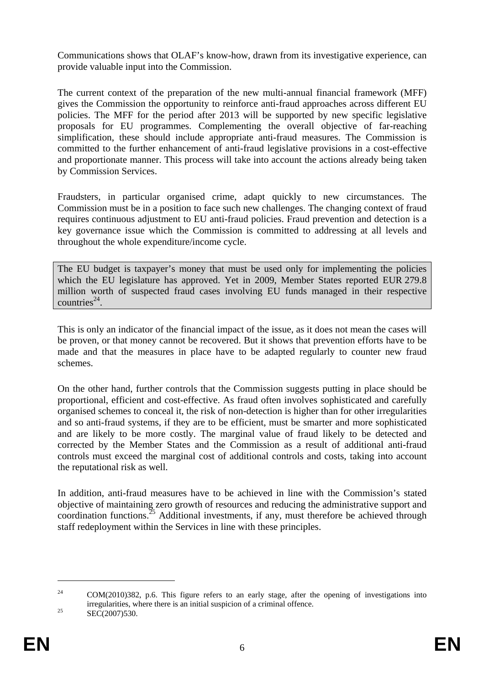Communications shows that OLAF's know-how, drawn from its investigative experience, can provide valuable input into the Commission.

The current context of the preparation of the new multi-annual financial framework (MFF) gives the Commission the opportunity to reinforce anti-fraud approaches across different EU policies. The MFF for the period after 2013 will be supported by new specific legislative proposals for EU programmes. Complementing the overall objective of far-reaching simplification, these should include appropriate anti-fraud measures. The Commission is committed to the further enhancement of anti-fraud legislative provisions in a cost-effective and proportionate manner. This process will take into account the actions already being taken by Commission Services.

Fraudsters, in particular organised crime, adapt quickly to new circumstances. The Commission must be in a position to face such new challenges. The changing context of fraud requires continuous adjustment to EU anti-fraud policies. Fraud prevention and detection is a key governance issue which the Commission is committed to addressing at all levels and throughout the whole expenditure/income cycle.

The EU budget is taxpayer's money that must be used only for implementing the policies which the EU legislature has approved. Yet in 2009, Member States reported EUR 279.8 million worth of suspected fraud cases involving EU funds managed in their respective countries $^{24}$ .

This is only an indicator of the financial impact of the issue, as it does not mean the cases will be proven, or that money cannot be recovered. But it shows that prevention efforts have to be made and that the measures in place have to be adapted regularly to counter new fraud schemes.

On the other hand, further controls that the Commission suggests putting in place should be proportional, efficient and cost-effective. As fraud often involves sophisticated and carefully organised schemes to conceal it, the risk of non-detection is higher than for other irregularities and so anti-fraud systems, if they are to be efficient, must be smarter and more sophisticated and are likely to be more costly. The marginal value of fraud likely to be detected and corrected by the Member States and the Commission as a result of additional anti-fraud controls must exceed the marginal cost of additional controls and costs, taking into account the reputational risk as well.

In addition, anti-fraud measures have to be achieved in line with the Commission's stated objective of maintaining zero growth of resources and reducing the administrative support and coordination functions.<sup>25</sup> Additional investments, if any, must therefore be achieved through staff redeployment within the Services in line with these principles.

<sup>24</sup> COM(2010)382, p.6. This figure refers to an early stage, after the opening of investigations into irregularities, where there is an initial suspicion of a criminal offence.<br>SEC(2007)530.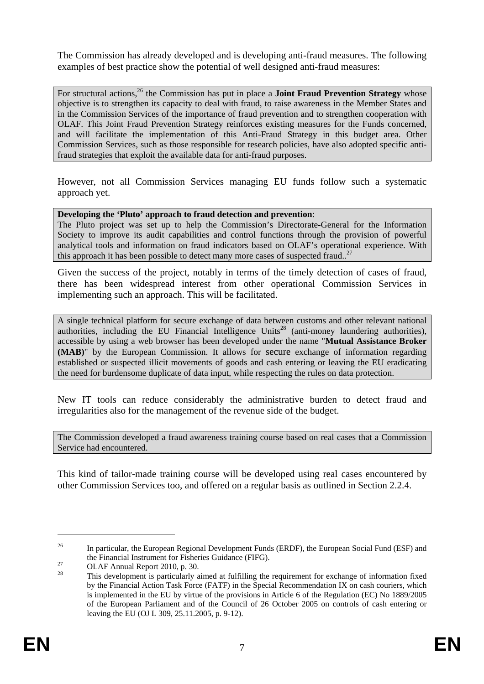The Commission has already developed and is developing anti-fraud measures. The following examples of best practice show the potential of well designed anti-fraud measures:

For structural actions.<sup>26</sup> the Commission has put in place a **Joint Fraud Prevention Strategy** whose objective is to strengthen its capacity to deal with fraud, to raise awareness in the Member States and in the Commission Services of the importance of fraud prevention and to strengthen cooperation with OLAF. This Joint Fraud Prevention Strategy reinforces existing measures for the Funds concerned, and will facilitate the implementation of this Anti-Fraud Strategy in this budget area. Other Commission Services, such as those responsible for research policies, have also adopted specific antifraud strategies that exploit the available data for anti-fraud purposes.

However, not all Commission Services managing EU funds follow such a systematic approach yet.

**Developing the 'Pluto' approach to fraud detection and prevention**:

The Pluto project was set up to help the Commission's Directorate-General for the Information Society to improve its audit capabilities and control functions through the provision of powerful analytical tools and information on fraud indicators based on OLAF's operational experience. With this approach it has been possible to detect many more cases of suspected fraud..<sup>27</sup>

Given the success of the project, notably in terms of the timely detection of cases of fraud, there has been widespread interest from other operational Commission Services in implementing such an approach. This will be facilitated.

A single technical platform for secure exchange of data between customs and other relevant national authorities, including the EU Financial Intelligence Units<sup>28</sup> (anti-money laundering authorities), accessible by using a web browser has been developed under the name "**Mutual Assistance Broker (MAB)**" by the European Commission. It allows for secure exchange of information regarding established or suspected illicit movements of goods and cash entering or leaving the EU eradicating the need for burdensome duplicate of data input, while respecting the rules on data protection.

New IT tools can reduce considerably the administrative burden to detect fraud and irregularities also for the management of the revenue side of the budget.

The Commission developed a fraud awareness training course based on real cases that a Commission Service had encountered.

This kind of tailor-made training course will be developed using real cases encountered by other Commission Services too, and offered on a regular basis as outlined in Section 2.2.4.

<sup>&</sup>lt;sup>26</sup> In particular, th[e European Regional Development Funds \(](http://ec.europa.eu/regional_policy/funds/prord/prord_en.htm)ERDF), th[e European Social Fund \(](http://ec.europa.eu/regional_policy/funds/prord/prords/prdsb_en.htm)ESF) and th[e Financial Instrument for Fisheries Guidance \(](http://ec.europa.eu/regional_policy/funds/prord/prords/prdsd_en.htm)FIFG).<br>
27 OLAF Annual Report 2010, p. 30.

<sup>28</sup> This development is particularly aimed at fulfilling the requirement for exchange of information fixed by the Financial Action Task Force (FATF) in the Special Recommendation IX on cash couriers, which is implemented in the EU by virtue of the provisions in Article 6 of the Regulation (EC) No 1889/2005 of the European Parliament and of the Council of 26 October 2005 on controls of cash entering or leaving the EU (OJ L 309, 25.11.2005, p. 9-12).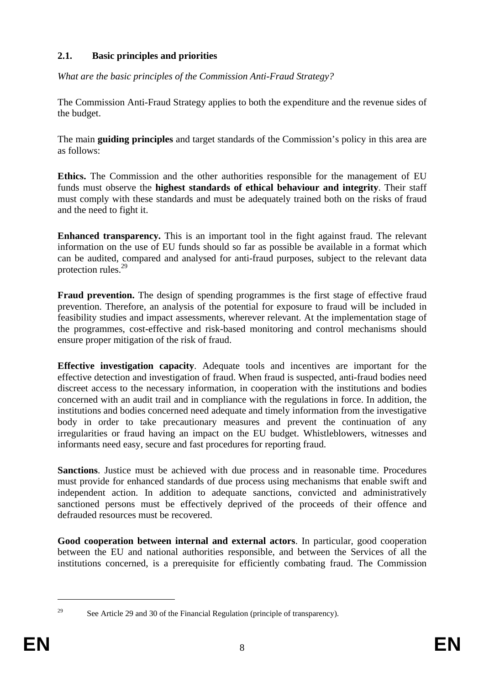## <span id="page-7-0"></span>**2.1. Basic principles and priorities**

*What are the basic principles of the Commission Anti-Fraud Strategy?* 

The Commission Anti-Fraud Strategy applies to both the expenditure and the revenue sides of the budget.

The main **guiding principles** and target standards of the Commission's policy in this area are as follows:

**Ethics.** The Commission and the other authorities responsible for the management of EU funds must observe the **highest standards of ethical behaviour and integrity**. Their staff must comply with these standards and must be adequately trained both on the risks of fraud and the need to fight it.

**Enhanced transparency.** This is an important tool in the fight against fraud. The relevant information on the use of EU funds should so far as possible be available in a format which can be audited, compared and analysed for anti-fraud purposes, subject to the relevant data protection rules.29

**Fraud prevention.** The design of spending programmes is the first stage of effective fraud prevention. Therefore, an analysis of the potential for exposure to fraud will be included in feasibility studies and impact assessments, wherever relevant. At the implementation stage of the programmes, cost-effective and risk-based monitoring and control mechanisms should ensure proper mitigation of the risk of fraud.

**Effective investigation capacity**. Adequate tools and incentives are important for the effective detection and investigation of fraud. When fraud is suspected, anti-fraud bodies need discreet access to the necessary information, in cooperation with the institutions and bodies concerned with an audit trail and in compliance with the regulations in force. In addition, the institutions and bodies concerned need adequate and timely information from the investigative body in order to take precautionary measures and prevent the continuation of any irregularities or fraud having an impact on the EU budget. Whistleblowers, witnesses and informants need easy, secure and fast procedures for reporting fraud.

**Sanctions**. Justice must be achieved with due process and in reasonable time. Procedures must provide for enhanced standards of due process using mechanisms that enable swift and independent action. In addition to adequate sanctions, convicted and administratively sanctioned persons must be effectively deprived of the proceeds of their offence and defrauded resources must be recovered.

**Good cooperation between internal and external actors**. In particular, good cooperation between the EU and national authorities responsible, and between the Services of all the institutions concerned, is a prerequisite for efficiently combating fraud. The Commission

<sup>1</sup> 

<sup>&</sup>lt;sup>29</sup> See Article 29 and 30 of the Financial Regulation (principle of transparency).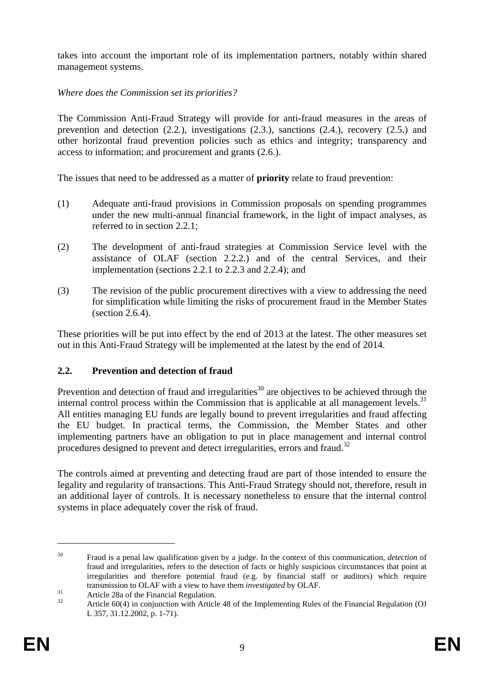takes into account the important role of its implementation partners, notably within shared management systems.

## *Where does the Commission set its priorities?*

The Commission Anti-Fraud Strategy will provide for anti-fraud measures in the areas of prevention and detection (2.2.), investigations (2.3.), sanctions (2.4.), recovery (2.5.) and other horizontal fraud prevention policies such as ethics and integrity; transparency and access to information; and procurement and grants (2.6.).

The issues that need to be addressed as a matter of **priority** relate to fraud prevention:

- (1) Adequate anti-fraud provisions in Commission proposals on spending programmes under the new multi-annual financial framework, in the light of impact analyses, as referred to in section 2.2.1;
- (2) The development of anti-fraud strategies at Commission Service level with the assistance of OLAF (section 2.2.2.) and of the central Services, and their implementation (sections 2.2.1 to 2.2.3 and 2.2.4); and
- (3) The revision of the public procurement directives with a view to addressing the need for simplification while limiting the risks of procurement fraud in the Member States (section 2.6.4).

These priorities will be put into effect by the end of 2013 at the latest. The other measures set out in this Anti-Fraud Strategy will be implemented at the latest by the end of 2014.

## <span id="page-8-0"></span>**2.2. Prevention and detection of fraud**

Prevention and detection of fraud and irregularities<sup>30</sup> are objectives to be achieved through the internal control process within the Commission that is applicable at all management levels.<sup>31</sup> All entities managing EU funds are legally bound to prevent irregularities and fraud affecting the EU budget. In practical terms, the Commission, the Member States and other implementing partners have an obligation to put in place management and internal control procedures designed to prevent and detect irregularities, errors and fraud.<sup>32</sup>

The controls aimed at preventing and detecting fraud are part of those intended to ensure the legality and regularity of transactions. This Anti-Fraud Strategy should not, therefore, result in an additional layer of controls. It is necessary nonetheless to ensure that the internal control systems in place adequately cover the risk of fraud.

<sup>30</sup> Fraud is a penal law qualification given by a judge. In the context of this communication, *detection* of fraud and irregularities, refers to the detection of facts or highly suspicious circumstances that point at irregularities and therefore potential fraud (e.g. by financial staff or auditors) which require transmission to OLAF with a view to have them *investigated* by OLAF.<br>31 Article 28a of the Financial Regulation.

<sup>32</sup> Article 60(4) in conjunction with Article 48 of the Implementing Rules of the Financial Regulation (OJ L 357, 31.12.2002, p. 1-71).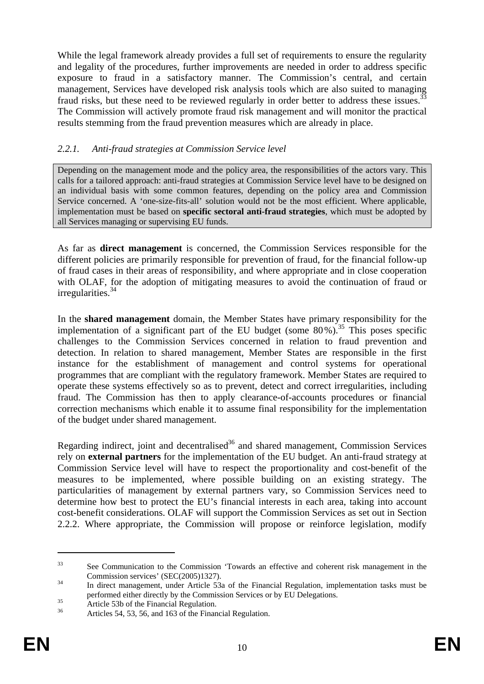While the legal framework already provides a full set of requirements to ensure the regularity and legality of the procedures, further improvements are needed in order to address specific exposure to fraud in a satisfactory manner. The Commission's central, and certain management, Services have developed risk analysis tools which are also suited to managing fraud risks, but these need to be reviewed regularly in order better to address these issues.<sup>3</sup> The Commission will actively promote fraud risk management and will monitor the practical results stemming from the fraud prevention measures which are already in place.

### <span id="page-9-0"></span>*2.2.1. Anti-fraud strategies at Commission Service level*

Depending on the management mode and the policy area, the responsibilities of the actors vary. This calls for a tailored approach: anti-fraud strategies at Commission Service level have to be designed on an individual basis with some common features, depending on the policy area and Commission Service concerned. A 'one-size-fits-all' solution would not be the most efficient. Where applicable, implementation must be based on **specific sectoral anti-fraud strategies**, which must be adopted by all Services managing or supervising EU funds.

As far as **direct management** is concerned, the Commission Services responsible for the different policies are primarily responsible for prevention of fraud, for the financial follow-up of fraud cases in their areas of responsibility, and where appropriate and in close cooperation with OLAF, for the adoption of mitigating measures to avoid the continuation of fraud or irregularities.34

In the **shared management** domain, the Member States have primary responsibility for the implementation of a significant part of the EU budget (some  $80\%$ ).<sup>35</sup> This poses specific challenges to the Commission Services concerned in relation to fraud prevention and detection. In relation to shared management, Member States are responsible in the first instance for the establishment of management and control systems for operational programmes that are compliant with the regulatory framework. Member States are required to operate these systems effectively so as to prevent, detect and correct irregularities, including fraud. The Commission has then to apply clearance-of-accounts procedures or financial correction mechanisms which enable it to assume final responsibility for the implementation of the budget under shared management.

Regarding indirect, joint and decentralised $36$  and shared management, Commission Services rely on **external partners** for the implementation of the EU budget. An anti-fraud strategy at Commission Service level will have to respect the proportionality and cost-benefit of the measures to be implemented, where possible building on an existing strategy. The particularities of management by external partners vary, so Commission Services need to determine how best to protect the EU's financial interests in each area, taking into account cost-benefit considerations. OLAF will support the Commission Services as set out in Section 2.2.2. Where appropriate, the Commission will propose or reinforce legislation, modify

<sup>&</sup>lt;sup>33</sup> See Communication to the Commission 'Towards an effective and coherent risk management in the Commission services' (SEC(2005)1327). 34 In direct management, under Article 53a of the Financial Regulation, implementation tasks must be

performed either directly by the Commission Services or by EU Delegations.<br>
Article 53b of the Financial Regulation.<br>
36 Article 54 52 56 and 162 is the Financial Regulation.

Articles 54, 53, 56, and 163 of the Financial Regulation.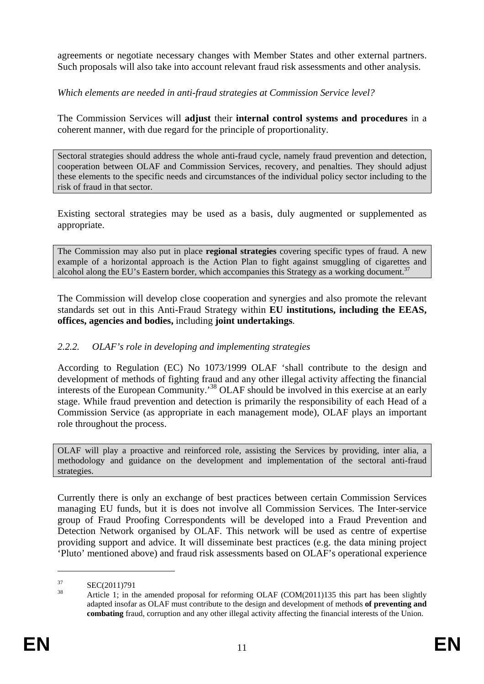agreements or negotiate necessary changes with Member States and other external partners. Such proposals will also take into account relevant fraud risk assessments and other analysis.

### *Which elements are needed in anti-fraud strategies at Commission Service level?*

The Commission Services will **adjust** their **internal control systems and procedures** in a coherent manner, with due regard for the principle of proportionality.

Sectoral strategies should address the whole anti-fraud cycle, namely fraud prevention and detection, cooperation between OLAF and Commission Services, recovery, and penalties. They should adjust these elements to the specific needs and circumstances of the individual policy sector including to the risk of fraud in that sector.

Existing sectoral strategies may be used as a basis, duly augmented or supplemented as appropriate.

The Commission may also put in place **regional strategies** covering specific types of fraud. A new example of a horizontal approach is the Action Plan to fight against smuggling of cigarettes and alcohol along the EU's Eastern border, which accompanies this Strategy as a working document.<sup>37</sup>

The Commission will develop close cooperation and synergies and also promote the relevant standards set out in this Anti-Fraud Strategy within **EU institutions, including the EEAS, offices, agencies and bodies,** including **joint undertakings**.

#### <span id="page-10-0"></span>*2.2.2. OLAF's role in developing and implementing strategies*

According to Regulation (EC) No 1073/1999 OLAF 'shall contribute to the design and development of methods of fighting fraud and any other illegal activity affecting the financial interests of the European Community.'38 OLAF should be involved in this exercise at an early stage. While fraud prevention and detection is primarily the responsibility of each Head of a Commission Service (as appropriate in each management mode), OLAF plays an important role throughout the process.

OLAF will play a proactive and reinforced role, assisting the Services by providing, inter alia, a methodology and guidance on the development and implementation of the sectoral anti-fraud strategies.

Currently there is only an exchange of best practices between certain Commission Services managing EU funds, but it is does not involve all Commission Services. The Inter-service group of Fraud Proofing Correspondents will be developed into a Fraud Prevention and Detection Network organised by OLAF. This network will be used as centre of expertise providing support and advice. It will disseminate best practices (e.g. the data mining project 'Pluto' mentioned above) and fraud risk assessments based on OLAF's operational experience

 $\frac{37}{38}$  SEC(2011)791

Article 1; in the amended proposal for reforming OLAF (COM(2011)135 this part has been slightly adapted insofar as OLAF must contribute to the design and development of methods **of preventing and combating** fraud, corruption and any other illegal activity affecting the financial interests of the Union.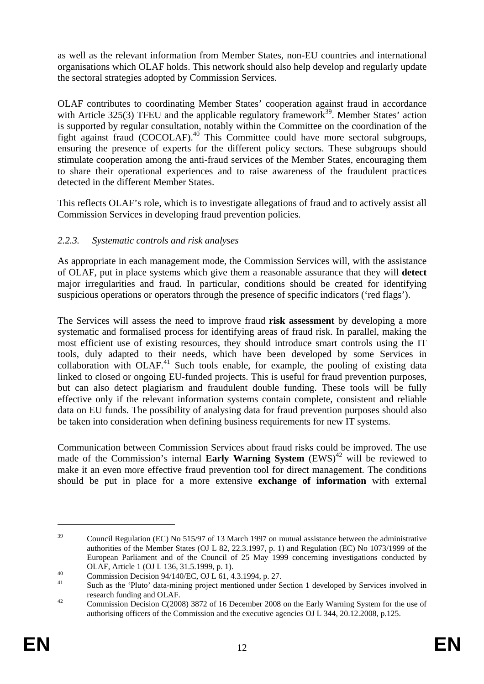as well as the relevant information from Member States, non-EU countries and international organisations which OLAF holds. This network should also help develop and regularly update the sectoral strategies adopted by Commission Services.

OLAF contributes to coordinating Member States' cooperation against fraud in accordance with Article 325(3) TFEU and the applicable regulatory framework<sup>39</sup>. Member States' action is supported by regular consultation, notably within the Committee on the coordination of the fight against fraud (COCOLAF).40 This Committee could have more sectoral subgroups, ensuring the presence of experts for the different policy sectors. These subgroups should stimulate cooperation among the anti-fraud services of the Member States, encouraging them to share their operational experiences and to raise awareness of the fraudulent practices detected in the different Member States.

This reflects OLAF's role, which is to investigate allegations of fraud and to actively assist all Commission Services in developing fraud prevention policies.

## <span id="page-11-0"></span>*2.2.3. Systematic controls and risk analyses*

As appropriate in each management mode, the Commission Services will, with the assistance of OLAF, put in place systems which give them a reasonable assurance that they will **detect** major irregularities and fraud. In particular, conditions should be created for identifying suspicious operations or operators through the presence of specific indicators ('red flags').

The Services will assess the need to improve fraud **risk assessment** by developing a more systematic and formalised process for identifying areas of fraud risk. In parallel, making the most efficient use of existing resources, they should introduce smart controls using the IT tools, duly adapted to their needs, which have been developed by some Services in collaboration with  $OLAF<sup>41</sup>$  Such tools enable, for example, the pooling of existing data linked to closed or ongoing EU-funded projects. This is useful for fraud prevention purposes, but can also detect plagiarism and fraudulent double funding. These tools will be fully effective only if the relevant information systems contain complete, consistent and reliable data on EU funds. The possibility of analysing data for fraud prevention purposes should also be taken into consideration when defining business requirements for new IT systems.

Communication between Commission Services about fraud risks could be improved. The use made of the Commission's internal **Early Warning System**  $(EWS)^{42}$  will be reviewed to make it an even more effective fraud prevention tool for direct management. The conditions should be put in place for a more extensive **exchange of information** with external

<sup>&</sup>lt;sup>39</sup> Council Regulation (EC) No 515/97 of 13 March 1997 on mutual assistance between the administrative authorities of the Member States (OJ L 82, 22.3.1997, p. 1) and Regulation (EC) No 1073/1999 of the European Parliament and of the Council of 25 May 1999 concerning investigations conducted by

OLAF, Article 1 (OJ L 136, 31.5.1999, p. 1).<br>
Commission Decision 94/140/EC, OJ L 61, 4.3.1994, p. 27.

Such as the 'Pluto' data-mining project mentioned under Section 1 developed by Services involved in research funding and OLAF.<br><sup>42</sup> Commission Decision C(2008) 3872 of 16 December 2008 on the Early Warning System for the use of

authorising officers of the Commission and the executive agencies OJ L 344, 20.12.2008, p.125.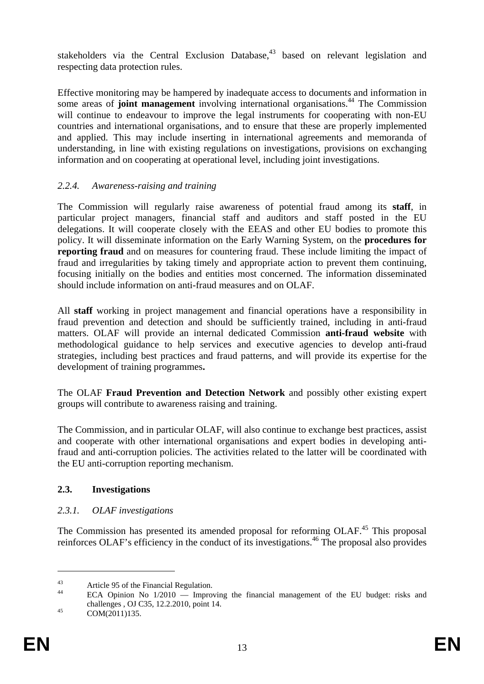stakeholders via the Central Exclusion Database, $43$  based on relevant legislation and respecting data protection rules.

Effective monitoring may be hampered by inadequate access to documents and information in some areas of **joint management** involving international organisations.<sup>44</sup> The Commission will continue to endeavour to improve the legal instruments for cooperating with non-EU countries and international organisations, and to ensure that these are properly implemented and applied. This may include inserting in international agreements and memoranda of understanding, in line with existing regulations on investigations, provisions on exchanging information and on cooperating at operational level, including joint investigations.

## <span id="page-12-0"></span>*2.2.4. Awareness-raising and training*

The Commission will regularly raise awareness of potential fraud among its **staff**, in particular project managers, financial staff and auditors and staff posted in the EU delegations. It will cooperate closely with the EEAS and other EU bodies to promote this policy. It will disseminate information on the Early Warning System, on the **procedures for reporting fraud** and on measures for countering fraud. These include limiting the impact of fraud and irregularities by taking timely and appropriate action to prevent them continuing, focusing initially on the bodies and entities most concerned. The information disseminated should include information on anti-fraud measures and on OLAF.

All **staff** working in project management and financial operations have a responsibility in fraud prevention and detection and should be sufficiently trained, including in anti-fraud matters. OLAF will provide an internal dedicated Commission **anti-fraud website** with methodological guidance to help services and executive agencies to develop anti-fraud strategies, including best practices and fraud patterns, and will provide its expertise for the development of training programmes**.**

The OLAF **Fraud Prevention and Detection Network** and possibly other existing expert groups will contribute to awareness raising and training.

The Commission, and in particular OLAF, will also continue to exchange best practices, assist and cooperate with other international organisations and expert bodies in developing antifraud and anti-corruption policies. The activities related to the latter will be coordinated with the EU anti-corruption reporting mechanism.

## <span id="page-12-2"></span><span id="page-12-1"></span>**2.3. Investigations**

## *2.3.1. OLAF investigations*

The Commission has presented its amended proposal for reforming OLAF.<sup>45</sup> This proposal reinforces OLAF's efficiency in the conduct of its investigations.<sup>46</sup> The proposal also provides

<sup>&</sup>lt;sup>43</sup><br>Article 95 of the Financial Regulation.<br> $\overline{A}^{44}$ 

ECA Opinion No  $1/2010$  — Improving the financial management of the EU budget: risks and challenges , OJ C35, 12.2.2010, point 14.<br>COM(2011)135.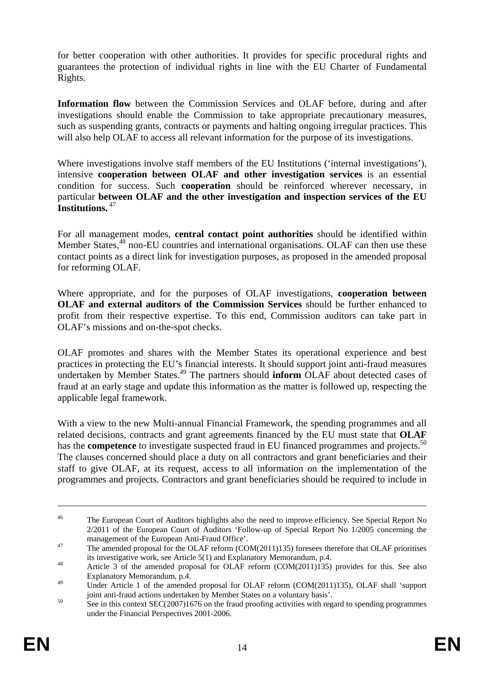for better cooperation with other authorities. It provides for specific procedural rights and guarantees the protection of individual rights in line with the EU Charter of Fundamental Rights.

**Information flow** between the Commission Services and OLAF before, during and after investigations should enable the Commission to take appropriate precautionary measures, such as suspending grants, contracts or payments and halting ongoing irregular practices. This will also help OLAF to access all relevant information for the purpose of its investigations.

Where investigations involve staff members of the EU Institutions ('internal investigations'), intensive **cooperation between OLAF and other investigation services** is an essential condition for success. Such **cooperation** should be reinforced wherever necessary, in particular **between OLAF and the other investigation and inspection services of the EU Institutions.**<sup>47</sup>

For all management modes, **central contact point authorities** should be identified within Member States,<sup>48</sup> non-EU countries and international organisations. OLAF can then use these contact points as a direct link for investigation purposes, as proposed in the amended proposal for reforming OLAF.

Where appropriate, and for the purposes of OLAF investigations, **cooperation between OLAF and external auditors of the Commission Services** should be further enhanced to profit from their respective expertise. To this end, Commission auditors can take part in OLAF's missions and on-the-spot checks.

OLAF promotes and shares with the Member States its operational experience and best practices in protecting the EU's financial interests. It should support joint anti-fraud measures undertaken by Member States.49 The partners should **inform** OLAF about detected cases of fraud at an early stage and update this information as the matter is followed up, respecting the applicable legal framework.

With a view to the new Multi-annual Financial Framework, the spending programmes and all related decisions, contracts and grant agreements financed by the EU must state that **OLAF**  has the **competence** to investigate suspected fraud in EU financed programmes and projects.<sup>50</sup> The clauses concerned should place a duty on all contractors and grant beneficiaries and their staff to give OLAF, at its request, access to all information on the implementation of the programmes and projects. Contractors and grant beneficiaries should be required to include in

<sup>&</sup>lt;sup>46</sup> The European Court of Auditors highlights also the need to improve efficiency. See Special Report No 2/2011 of the European Court of Auditors 'Follow-up of Special Report No 1/2005 concerning the

The amended proposal for the OLAF reform (COM(2011)135) foresees therefore that OLAF prioritises<br>its investigative work, see Article 5(1) and Explanatory Memorandum, p.4.

<sup>&</sup>lt;sup>48</sup> Article 3 of the amended proposal for OLAF reform (COM(2011)135) provides for this. See also Explanatory Memorandum, p.4.

<sup>&</sup>lt;sup>49</sup> Under Article 1 of the amended proposal for OLAF reform (COM(2011)135), OLAF shall 'support fraud actions undertaken by Member States on a voluntary basis'.<br>See in this context SEC(2007)1676 on the fraud proofing activities with regard to spending programmes

under the Financial Perspectives 2001-2006.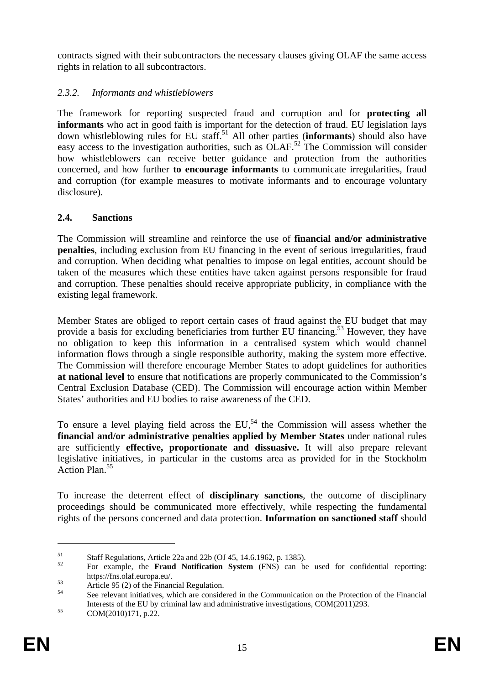contracts signed with their subcontractors the necessary clauses giving OLAF the same access rights in relation to all subcontractors.

## <span id="page-14-0"></span>*2.3.2. Informants and whistleblowers*

The framework for reporting suspected fraud and corruption and for **protecting all informants** who act in good faith is important for the detection of fraud. EU legislation lays down whistleblowing rules for EU staff.<sup>51</sup> All other parties (**informants**) should also have easy access to the investigation authorities, such as  $OLAF<sup>52</sup>$  The Commission will consider how whistleblowers can receive better guidance and protection from the authorities concerned, and how further **to encourage informants** to communicate irregularities, fraud and corruption (for example measures to motivate informants and to encourage voluntary disclosure).

## <span id="page-14-1"></span>**2.4. Sanctions**

The Commission will streamline and reinforce the use of **financial and/or administrative penalties**, including exclusion from EU financing in the event of serious irregularities, fraud and corruption. When deciding what penalties to impose on legal entities, account should be taken of the measures which these entities have taken against persons responsible for fraud and corruption. These penalties should receive appropriate publicity, in compliance with the existing legal framework.

Member States are obliged to report certain cases of fraud against the EU budget that may provide a basis for excluding beneficiaries from further EU financing.<sup>53</sup> However, they have no obligation to keep this information in a centralised system which would channel information flows through a single responsible authority, making the system more effective. The Commission will therefore encourage Member States to adopt guidelines for authorities **at national level** to ensure that notifications are properly communicated to the Commission's Central Exclusion Database (CED). The Commission will encourage action within Member States' authorities and EU bodies to raise awareness of the CED.

To ensure a level playing field across the EU,<sup>54</sup> the Commission will assess whether the **financial and/or administrative penalties applied by Member States** under national rules are sufficiently **effective, proportionate and dissuasive.** It will also prepare relevant legislative initiatives, in particular in the customs area as provided for in the Stockholm Action Plan.<sup>55</sup>

To increase the deterrent effect of **disciplinary sanctions**, the outcome of disciplinary proceedings should be communicated more effectively, while respecting the fundamental rights of the persons concerned and data protection. **Information on sanctioned staff** should

 $51$  Staff Regulations, Article 22a and 22b (OJ 45, 14.6.1962, p. 1385).

<sup>52</sup> For example, the **Fraud Notification System** (FNS) can be used for confidential reporting:

https://fns.olaf.europa.eu/.<br>
Article 95 (2) of the Financial Regulation.

See relevant initiatives, which are considered in the Communication on the Protection of the Financial Interests of the EU by criminal law and administrative investigations, COM(2011)293.<br>COM(2010)171, p.22.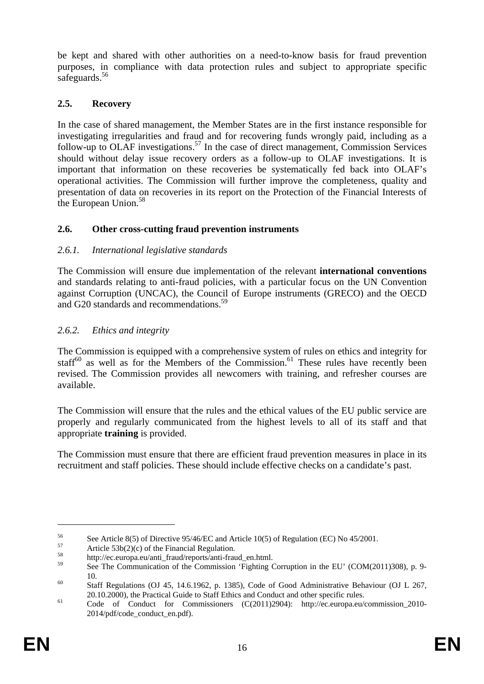be kept and shared with other authorities on a need-to-know basis for fraud prevention purposes, in compliance with data protection rules and subject to appropriate specific safeguards.<sup>56</sup>

## <span id="page-15-0"></span>**2.5. Recovery**

In the case of shared management, the Member States are in the first instance responsible for investigating irregularities and fraud and for recovering funds wrongly paid, including as a follow-up to OLAF investigations.<sup>57</sup> In the case of direct management, Commission Services should without delay issue recovery orders as a follow-up to OLAF investigations. It is important that information on these recoveries be systematically fed back into OLAF's operational activities. The Commission will further improve the completeness, quality and presentation of data on recoveries in its report on the Protection of the Financial Interests of the European Union.<sup>58</sup>

## <span id="page-15-1"></span>**2.6. Other cross-cutting fraud prevention instruments**

## <span id="page-15-2"></span>*2.6.1. International legislative standards*

The Commission will ensure due implementation of the relevant **international conventions** and standards relating to anti-fraud policies, with a particular focus on the UN Convention against Corruption (UNCAC), the Council of Europe instruments (GRECO) and the OECD and G20 standards and recommendations.<sup>59</sup>

## <span id="page-15-3"></span>*2.6.2. Ethics and integrity*

The Commission is equipped with a comprehensive system of rules on ethics and integrity for staff<sup>60</sup> as well as for the Members of the Commission.<sup>61</sup> These rules have recently been revised. The Commission provides all newcomers with training, and refresher courses are available.

The Commission will ensure that the rules and the ethical values of the EU public service are properly and regularly communicated from the highest levels to all of its staff and that appropriate **training** is provided.

The Commission must ensure that there are efficient fraud prevention measures in place in its recruitment and staff policies. These should include effective checks on a candidate's past.

<sup>56</sup> See Article 8(5) of Directive 95/46/EC and Article 10(5) of Regulation (EC) No 45/2001.<br>
Article 53b(2)(c) of the Financial Regulation.

<sup>58</sup> http://ec.europa.eu/anti\_fraud/reports/anti-fraud\_en.html.

See The Communication of the Commission 'Fighting Corruption in the EU' (COM(2011)308), p. 9-10. 60 Staff Regulations (OJ 45, 14.6.1962, p. 1385), Code of Good Administrative Behaviour (OJ L 267,

<sup>20.10.2000),</sup> the Practical Guide to Staff Ethics and Conduct and other specific rules.<br>
61 Code of Conduct for Commissioners (C(2011)2904): http://ec.europa.eu/commission 2010-

<sup>2014/</sup>pdf/code\_conduct\_en.pdf).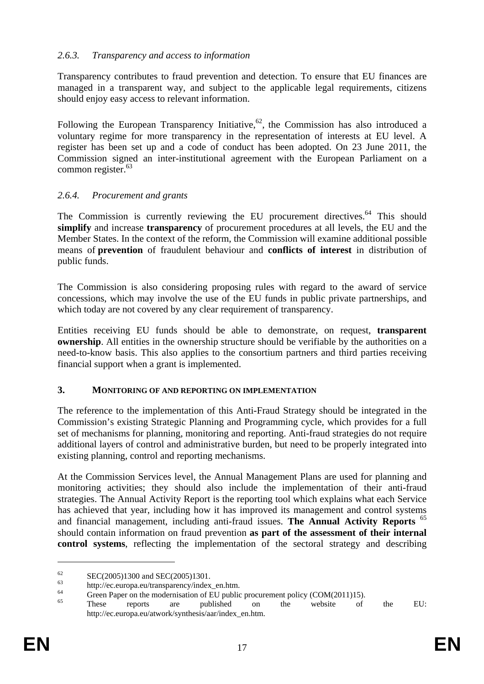## <span id="page-16-0"></span>*2.6.3. Transparency and access to information*

Transparency contributes to fraud prevention and detection. To ensure that EU finances are managed in a transparent way, and subject to the applicable legal requirements, citizens should enjoy easy access to relevant information.

Following the European Transparency Initiative,  $62$ , the Commission has also introduced a voluntary regime for more transparency in the representation of interests at EU level. A register has been set up and a code of conduct has been adopted. On 23 June 2011, the Commission signed an inter-institutional agreement with the European Parliament on a common register. $63$ 

### <span id="page-16-1"></span>*2.6.4. Procurement and grants*

The Commission is currently reviewing the EU procurement directives.<sup>64</sup> This should **simplify** and increase **transparency** of procurement procedures at all levels, the EU and the Member States. In the context of the reform, the Commission will examine additional possible means of **prevention** of fraudulent behaviour and **conflicts of interest** in distribution of public funds.

The Commission is also considering proposing rules with regard to the award of service concessions, which may involve the use of the EU funds in public private partnerships, and which today are not covered by any clear requirement of transparency.

Entities receiving EU funds should be able to demonstrate, on request, **transparent ownership**. All entities in the ownership structure should be verifiable by the authorities on a need-to-know basis. This also applies to the consortium partners and third parties receiving financial support when a grant is implemented.

#### <span id="page-16-2"></span>**3. MONITORING OF AND REPORTING ON IMPLEMENTATION**

The reference to the implementation of this Anti-Fraud Strategy should be integrated in the Commission's existing Strategic Planning and Programming cycle, which provides for a full set of mechanisms for planning, monitoring and reporting. Anti-fraud strategies do not require additional layers of control and administrative burden, but need to be properly integrated into existing planning, control and reporting mechanisms.

At the Commission Services level, the Annual Management Plans are used for planning and monitoring activities; they should also include the implementation of their anti-fraud strategies. The Annual Activity Report is the reporting tool which explains what each Service has achieved that year, including how it has improved its management and control systems and financial management, including anti-fraud issues. **The Annual Activity Reports** <sup>65</sup> should contain information on fraud prevention **as part of the assessment of their internal control systems**, reflecting the implementation of the sectoral strategy and describing

 $\frac{62}{63}$  SEC(2005)1300 and SEC(2005)1301.

 $^{63}$  http://ec.europa.eu/transparency/index\_en.htm.

 $^{64}$  Green Paper on the modernisation of EU public procurement policy (COM(2011)15).

<sup>65</sup> These reports are published on the website of the EU: http://ec.europa.eu/atwork/synthesis/aar/index\_en.htm.